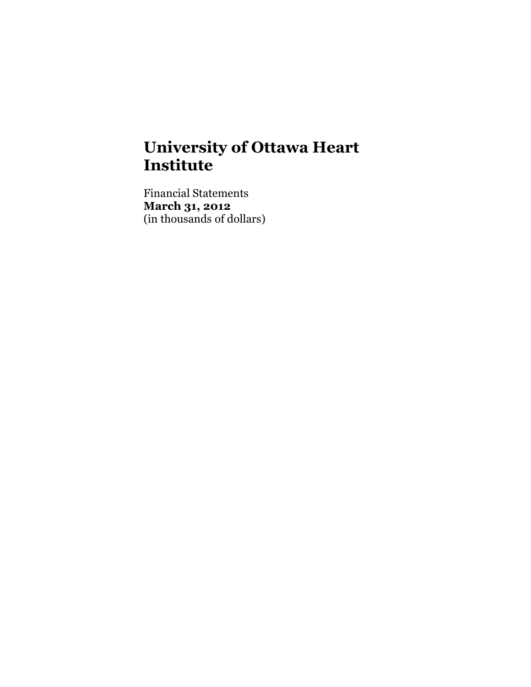# **University of Ottawa Heart Institute**

Financial Statements **March 31, 2012** (in thousands of dollars)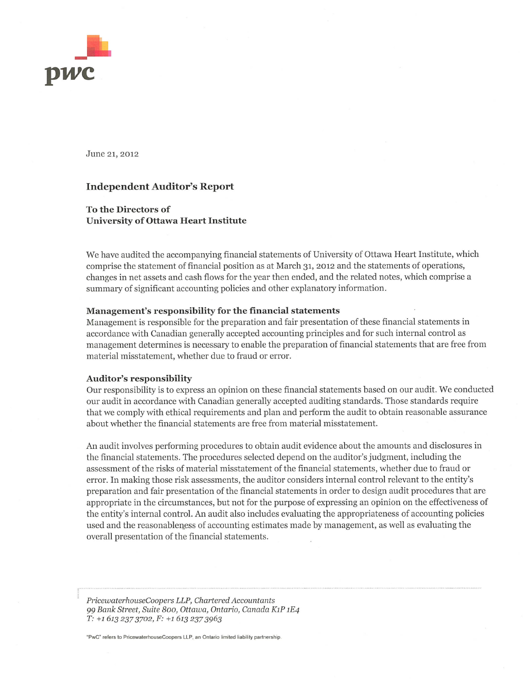

June 21, 2012

#### **Independent Auditor's Report**

#### **To the Directors of University of Ottawa Heart Institute**

We have audited the accompanying financial statements of University of Ottawa Heart Institute, which comprise the statement of financial position as at March 31, 2012 and the statements of operations, changes in net assets and cash flows for the year then ended, and the related notes, which comprise a summary of significant accounting policies and other explanatory information.

#### Management's responsibility for the financial statements

Management is responsible for the preparation and fair presentation of these financial statements in accordance with Canadian generally accepted accounting principles and for such internal control as management determines is necessary to enable the preparation of financial statements that are free from material misstatement, whether due to fraud or error.

#### Auditor's responsibility

Our responsibility is to express an opinion on these financial statements based on our audit. We conducted our audit in accordance with Canadian generally accepted auditing standards. Those standards require that we comply with ethical requirements and plan and perform the audit to obtain reasonable assurance about whether the financial statements are free from material misstatement.

An audit involves performing procedures to obtain audit evidence about the amounts and disclosures in the financial statements. The procedures selected depend on the auditor's judgment, including the assessment of the risks of material misstatement of the financial statements, whether due to fraud or error. In making those risk assessments, the auditor considers internal control relevant to the entity's preparation and fair presentation of the financial statements in order to design audit procedures that are appropriate in the circumstances, but not for the purpose of expressing an opinion on the effectiveness of the entity's internal control. An audit also includes evaluating the appropriateness of accounting policies used and the reasonableness of accounting estimates made by management, as well as evaluating the overall presentation of the financial statements.

PricewaterhouseCoopers LLP, Chartered Accountants 99 Bank Street, Suite 800, Ottawa, Ontario, Canada K1P 1E4 T: +1 613 237 3702, F: +1 613 237 3963

"PwC" refers to PricewaterhouseCoopers LLP, an Ontario limited liability partnership.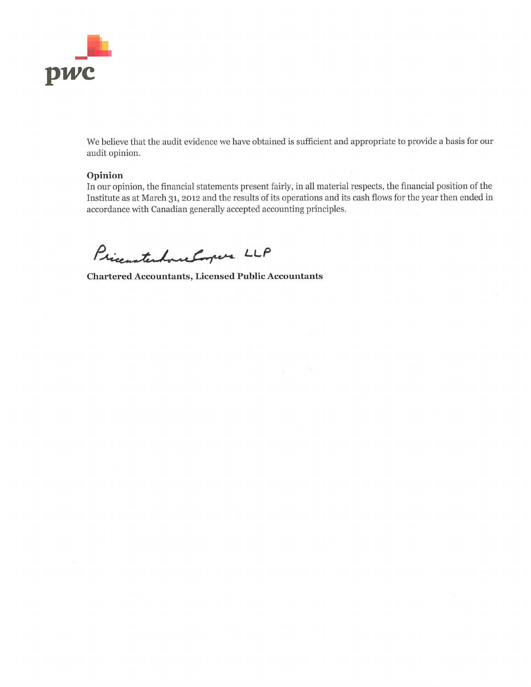

We believe that the audit evidence we have obtained is sufficient and appropriate to provide a basis for our audit opinion.

#### Opinion

In our opinion, the financial statements present fairly, in all material respects, the financial position of the Institute as at March 31, 2012 and the results of its operations and its cash flows for the year then ended in accordance with Canadian generally accepted accounting principles.

PricentenhancEmper LLP

**Chartered Accountants, Licensed Public Accountants**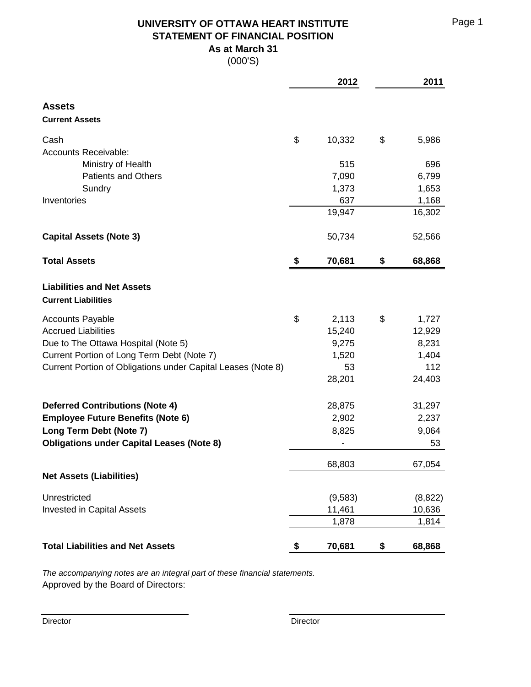**UNIVERSITY OF OTTAWA HEART INSTITUTE** Page 1 **STATEMENT OF FINANCIAL POSITION As at March 31**

(000'S)

|                                                                 | 2012         | 2011         |
|-----------------------------------------------------------------|--------------|--------------|
| <b>Assets</b><br><b>Current Assets</b>                          |              |              |
|                                                                 |              |              |
| Cash                                                            | \$<br>10,332 | \$<br>5,986  |
| <b>Accounts Receivable:</b>                                     |              |              |
| Ministry of Health                                              | 515          | 696          |
| <b>Patients and Others</b>                                      | 7,090        | 6,799        |
| Sundry                                                          | 1,373        | 1,653        |
| Inventories                                                     | 637          | 1,168        |
|                                                                 | 19,947       | 16,302       |
| <b>Capital Assets (Note 3)</b>                                  | 50,734       | 52,566       |
| <b>Total Assets</b>                                             | \$<br>70,681 | \$<br>68,868 |
|                                                                 |              |              |
| <b>Liabilities and Net Assets</b><br><b>Current Liabilities</b> |              |              |
| <b>Accounts Payable</b>                                         | \$<br>2,113  | \$<br>1,727  |
| <b>Accrued Liabilities</b>                                      | 15,240       | 12,929       |
| Due to The Ottawa Hospital (Note 5)                             | 9,275        | 8,231        |
| Current Portion of Long Term Debt (Note 7)                      | 1,520        | 1,404        |
| Current Portion of Obligations under Capital Leases (Note 8)    | 53           | 112          |
|                                                                 | 28,201       | 24,403       |
| <b>Deferred Contributions (Note 4)</b>                          | 28,875       | 31,297       |
| <b>Employee Future Benefits (Note 6)</b>                        | 2,902        | 2,237        |
| Long Term Debt (Note 7)                                         | 8,825        | 9,064        |
| <b>Obligations under Capital Leases (Note 8)</b>                |              | 53           |
|                                                                 | 68,803       | 67,054       |
| <b>Net Assets (Liabilities)</b>                                 |              |              |
| Unrestricted                                                    | (9,583)      | (8,822)      |
| <b>Invested in Capital Assets</b>                               | 11,461       | 10,636       |
|                                                                 | 1,878        | 1,814        |
| <b>Total Liabilities and Net Assets</b>                         | \$<br>70,681 | \$<br>68,868 |

*The accompanying notes are an integral part of these financial statements.* Approved by the Board of Directors: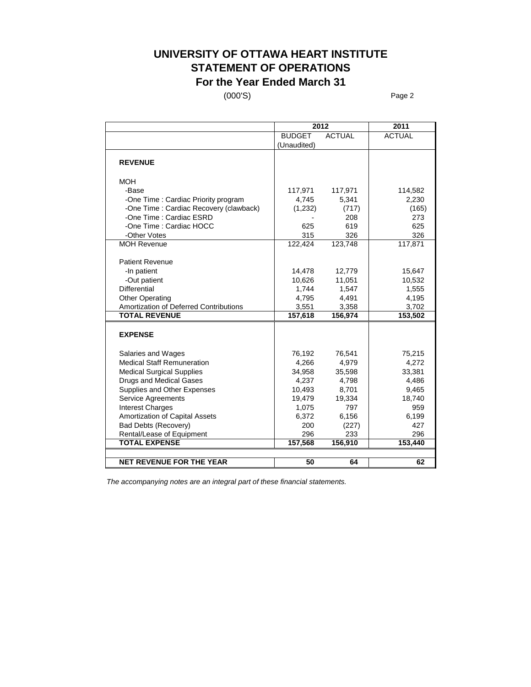## **UNIVERSITY OF OTTAWA HEART INSTITUTE STATEMENT OF OPERATIONS For the Year Ended March 31**

(000'S) Page 2

|                                        | 2012          | 2011          |               |
|----------------------------------------|---------------|---------------|---------------|
|                                        | <b>BUDGET</b> | <b>ACTUAL</b> | <b>ACTUAL</b> |
|                                        | (Unaudited)   |               |               |
|                                        |               |               |               |
| <b>REVENUE</b>                         |               |               |               |
| MOH                                    |               |               |               |
| -Base                                  | 117,971       | 117,971       | 114,582       |
| -One Time: Cardiac Priority program    | 4,745         | 5,341         | 2,230         |
| -One Time: Cardiac Recovery (clawback) | (1,232)       | (717)         | (165)         |
| -One Time : Cardiac ESRD               |               | 208           | 273           |
| -One Time : Cardiac HOCC               | 625           | 619           | 625           |
| -Other Votes                           | 315           | 326           | 326           |
| <b>MOH Revenue</b>                     | 122,424       | 123,748       | 117,871       |
|                                        |               |               |               |
| <b>Patient Revenue</b>                 |               |               |               |
| -In patient                            | 14,478        | 12,779        | 15,647        |
| -Out patient                           | 10,626        | 11,051        | 10,532        |
| <b>Differential</b>                    | 1,744         | 1,547         | 1,555         |
| <b>Other Operating</b>                 | 4.795         | 4,491         | 4,195         |
| Amortization of Deferred Contributions | 3,551         | 3,358         | 3,702         |
| <b>TOTAL REVENUE</b>                   | 157,618       | 156,974       | 153,502       |
|                                        |               |               |               |
| <b>EXPENSE</b>                         |               |               |               |
|                                        |               |               |               |
| Salaries and Wages                     | 76,192        | 76,541        | 75,215        |
| <b>Medical Staff Remuneration</b>      | 4,266         | 4,979         | 4,272         |
| <b>Medical Surgical Supplies</b>       | 34,958        | 35,598        | 33,381        |
| <b>Drugs and Medical Gases</b>         | 4,237         | 4,798         | 4,486         |
| Supplies and Other Expenses            | 10,493        | 8,701         | 9,465         |
| Service Agreements                     | 19,479        | 19,334        | 18,740        |
| <b>Interest Charges</b>                | 1,075         | 797           | 959           |
| Amortization of Capital Assets         | 6,372         | 6,156         | 6,199         |
| <b>Bad Debts (Recovery)</b>            | 200           | (227)         | 427           |
| Rental/Lease of Equipment              | 296           | 233           | 296           |
| <b>TOTAL EXPENSE</b>                   | 157,568       | 156,910       | 153,440       |
|                                        |               |               |               |
| <b>NET REVENUE FOR THE YEAR</b>        | 50            | 64            | 62            |

*The accompanying notes are an integral part of these financial statements.*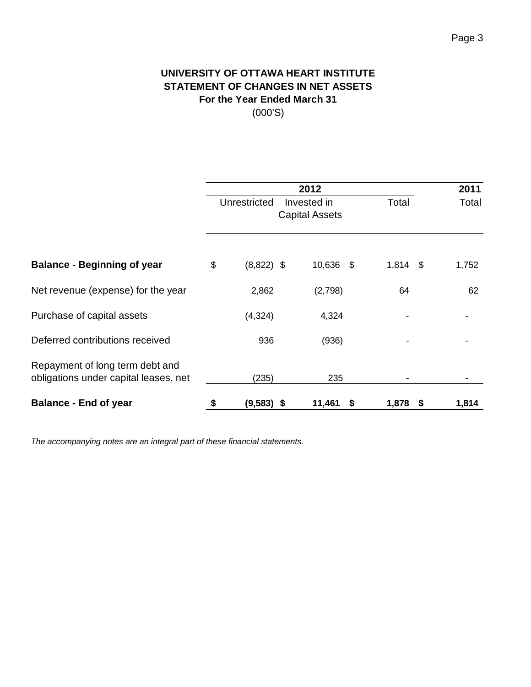# **UNIVERSITY OF OTTAWA HEART INSTITUTE STATEMENT OF CHANGES IN NET ASSETS For the Year Ended March 31**

(000'S)

|                                                                          |                    | 2012                                 |            |      | 2011  |
|--------------------------------------------------------------------------|--------------------|--------------------------------------|------------|------|-------|
|                                                                          | Unrestricted       | Invested in<br><b>Capital Assets</b> | Total      |      | Total |
|                                                                          |                    |                                      |            |      |       |
| <b>Balance - Beginning of year</b>                                       | \$<br>$(8,822)$ \$ | 10,636 \$                            | $1,814$ \$ |      | 1,752 |
| Net revenue (expense) for the year                                       | 2,862              | (2,798)                              | 64         |      | 62    |
| Purchase of capital assets                                               | (4,324)            | 4,324                                |            |      |       |
| Deferred contributions received                                          | 936                | (936)                                |            |      |       |
| Repayment of long term debt and<br>obligations under capital leases, net | (235)              | 235                                  |            |      |       |
| <b>Balance - End of year</b>                                             | \$<br>$(9,583)$ \$ | 11,461<br>\$                         | 1,878      | - \$ | 1,814 |

*The accompanying notes are an integral part of these financial statements.*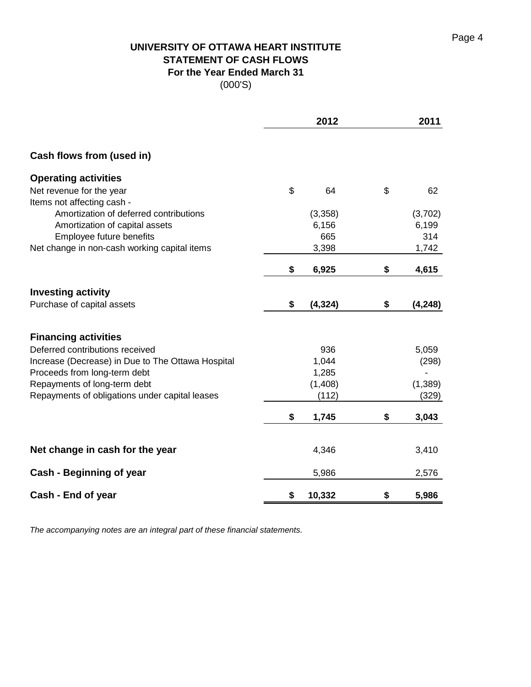# **UNIVERSITY OF OTTAWA HEART INSTITUTE STATEMENT OF CASH FLOWS For the Year Ended March 31**

(000'S)

|                                                   | 2012           | 2011           |
|---------------------------------------------------|----------------|----------------|
| Cash flows from (used in)                         |                |                |
| <b>Operating activities</b>                       |                |                |
| Net revenue for the year                          | \$<br>64       | \$<br>62       |
| Items not affecting cash -                        |                |                |
| Amortization of deferred contributions            | (3,358)        | (3,702)        |
| Amortization of capital assets                    | 6,156          | 6,199          |
| Employee future benefits                          | 665            | 314            |
| Net change in non-cash working capital items      | 3,398          | 1,742          |
|                                                   | \$<br>6,925    | \$<br>4,615    |
| <b>Investing activity</b>                         |                |                |
| Purchase of capital assets                        | \$<br>(4, 324) | \$<br>(4, 248) |
| <b>Financing activities</b>                       |                |                |
| Deferred contributions received                   | 936            | 5,059          |
| Increase (Decrease) in Due to The Ottawa Hospital | 1,044          | (298)          |
| Proceeds from long-term debt                      | 1,285          |                |
| Repayments of long-term debt                      | (1,408)        | (1, 389)       |
| Repayments of obligations under capital leases    | (112)          | (329)          |
|                                                   | \$<br>1,745    | \$<br>3,043    |
| Net change in cash for the year                   | 4,346          | 3,410          |
| Cash - Beginning of year                          | 5,986          | 2,576          |
| Cash - End of year                                | \$<br>10,332   | \$<br>5,986    |

*The accompanying notes are an integral part of these financial statements.*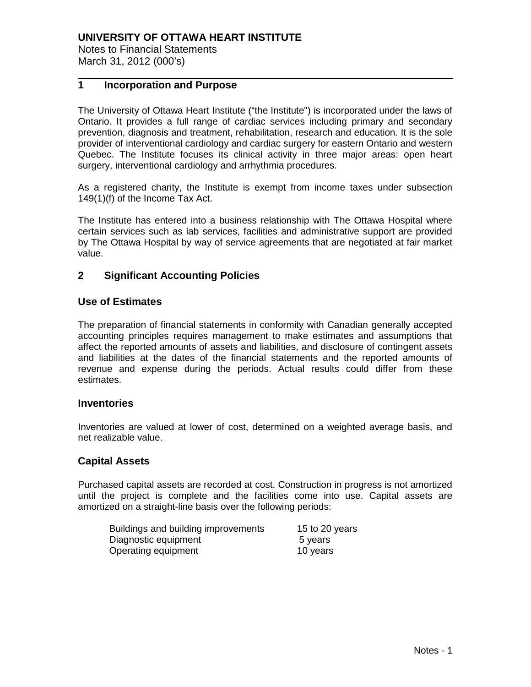Notes to Financial Statements March 31, 2012 (000's)

### **1 Incorporation and Purpose**

The University of Ottawa Heart Institute ("the Institute") is incorporated under the laws of Ontario. It provides a full range of cardiac services including primary and secondary prevention, diagnosis and treatment, rehabilitation, research and education. It is the sole provider of interventional cardiology and cardiac surgery for eastern Ontario and western Quebec. The Institute focuses its clinical activity in three major areas: open heart surgery, interventional cardiology and arrhythmia procedures.

As a registered charity, the Institute is exempt from income taxes under subsection 149(1)(f) of the Income Tax Act.

The Institute has entered into a business relationship with The Ottawa Hospital where certain services such as lab services, facilities and administrative support are provided by The Ottawa Hospital by way of service agreements that are negotiated at fair market value.

#### **2 Significant Accounting Policies**

#### **Use of Estimates**

The preparation of financial statements in conformity with Canadian generally accepted accounting principles requires management to make estimates and assumptions that affect the reported amounts of assets and liabilities, and disclosure of contingent assets and liabilities at the dates of the financial statements and the reported amounts of revenue and expense during the periods. Actual results could differ from these estimates.

#### **Inventories**

Inventories are valued at lower of cost, determined on a weighted average basis, and net realizable value.

#### **Capital Assets**

Purchased capital assets are recorded at cost. Construction in progress is not amortized until the project is complete and the facilities come into use. Capital assets are amortized on a straight-line basis over the following periods:

| Buildings and building improvements | 15 to 20 years |
|-------------------------------------|----------------|
| Diagnostic equipment                | 5 years        |
| Operating equipment                 | 10 years       |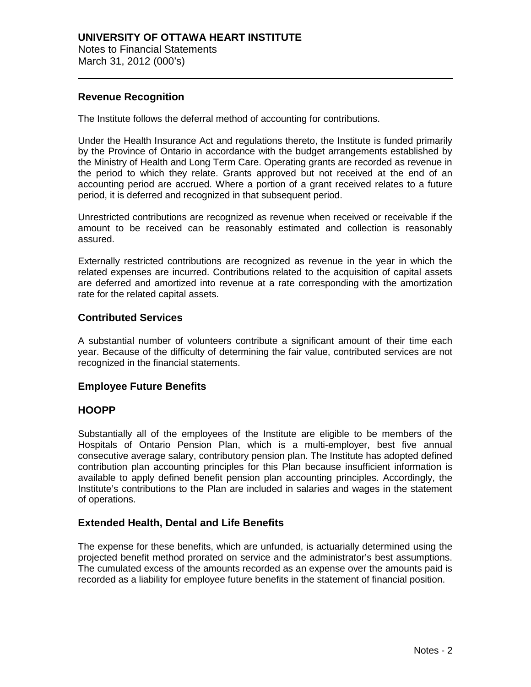March 31, 2012 (000's)

#### **Revenue Recognition**

The Institute follows the deferral method of accounting for contributions.

Under the Health Insurance Act and regulations thereto, the Institute is funded primarily by the Province of Ontario in accordance with the budget arrangements established by the Ministry of Health and Long Term Care. Operating grants are recorded as revenue in the period to which they relate. Grants approved but not received at the end of an accounting period are accrued. Where a portion of a grant received relates to a future period, it is deferred and recognized in that subsequent period.

Unrestricted contributions are recognized as revenue when received or receivable if the amount to be received can be reasonably estimated and collection is reasonably assured.

Externally restricted contributions are recognized as revenue in the year in which the related expenses are incurred. Contributions related to the acquisition of capital assets are deferred and amortized into revenue at a rate corresponding with the amortization rate for the related capital assets.

#### **Contributed Services**

A substantial number of volunteers contribute a significant amount of their time each year. Because of the difficulty of determining the fair value, contributed services are not recognized in the financial statements.

#### **Employee Future Benefits**

#### **HOOPP**

Substantially all of the employees of the Institute are eligible to be members of the Hospitals of Ontario Pension Plan, which is a multi-employer, best five annual consecutive average salary, contributory pension plan. The Institute has adopted defined contribution plan accounting principles for this Plan because insufficient information is available to apply defined benefit pension plan accounting principles. Accordingly, the Institute's contributions to the Plan are included in salaries and wages in the statement of operations.

#### **Extended Health, Dental and Life Benefits**

The expense for these benefits, which are unfunded, is actuarially determined using the projected benefit method prorated on service and the administrator's best assumptions. The cumulated excess of the amounts recorded as an expense over the amounts paid is recorded as a liability for employee future benefits in the statement of financial position.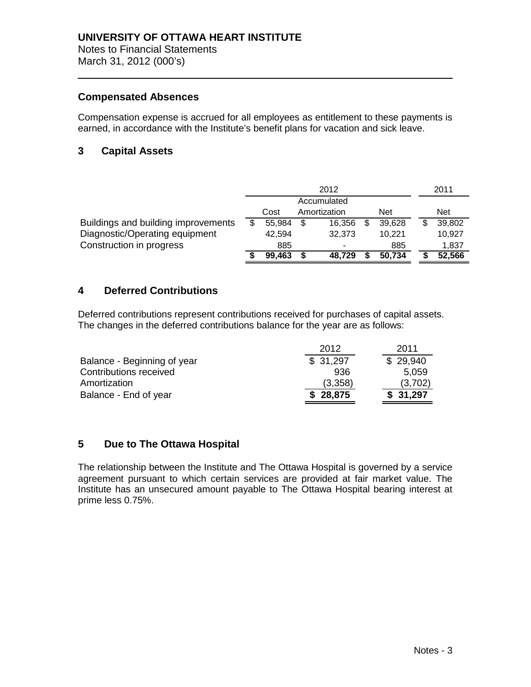March 31, 2012 (000's)

#### **Compensated Absences**

Compensation expense is accrued for all employees as entitlement to these payments is earned, in accordance with the Institute's benefit plans for vacation and sick leave.

### **3 Capital Assets**

|                                     |        |    | 2012         |        | 2011       |
|-------------------------------------|--------|----|--------------|--------|------------|
|                                     |        |    | Accumulated  |        |            |
|                                     | Cost   |    | Amortization | Net    | <b>Net</b> |
| Buildings and building improvements | 55,984 | S. | 16.356       | 39,628 | 39,802     |
| Diagnostic/Operating equipment      | 42.594 |    | 32,373       | 10,221 | 10,927     |
| Construction in progress            | 885    |    | ۰            | 885    | 1,837      |
|                                     | 99,463 |    | 48.729       | 50,734 | 52,566     |

#### **4 Deferred Contributions**

Deferred contributions represent contributions received for purchases of capital assets. The changes in the deferred contributions balance for the year are as follows:

|                             | 2012     | 2011     |
|-----------------------------|----------|----------|
| Balance - Beginning of year | \$31,297 | \$29,940 |
| Contributions received      | 936      | 5,059    |
| Amortization                | (3,358)  | (3,702)  |
| Balance - End of year       | \$28,875 | \$31,297 |

#### **5 Due to The Ottawa Hospital**

The relationship between the Institute and The Ottawa Hospital is governed by a service agreement pursuant to which certain services are provided at fair market value. The Institute has an unsecured amount payable to The Ottawa Hospital bearing interest at prime less 0.75%.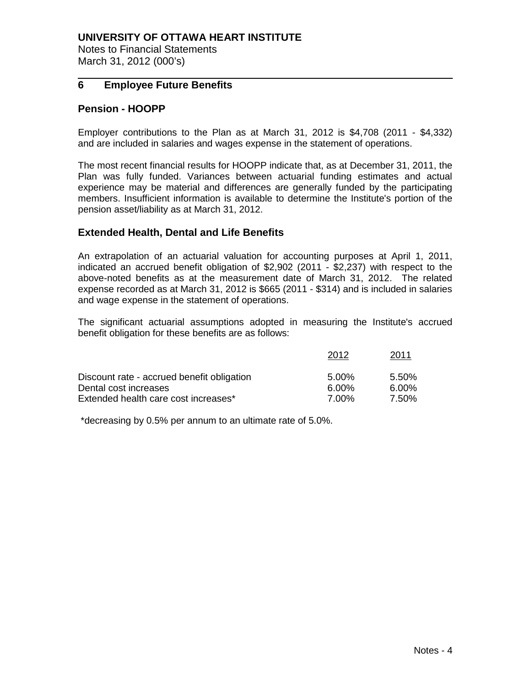Notes to Financial Statements March 31, 2012 (000's)

#### **6 Employee Future Benefits**

#### **Pension - HOOPP**

Employer contributions to the Plan as at March 31, 2012 is \$4,708 (2011 - \$4,332) and are included in salaries and wages expense in the statement of operations.

The most recent financial results for HOOPP indicate that, as at December 31, 2011, the Plan was fully funded. Variances between actuarial funding estimates and actual experience may be material and differences are generally funded by the participating members. Insufficient information is available to determine the Institute's portion of the pension asset/liability as at March 31, 2012.

#### **Extended Health, Dental and Life Benefits**

An extrapolation of an actuarial valuation for accounting purposes at April 1, 2011, indicated an accrued benefit obligation of \$2,902 (2011 - \$2,237) with respect to the above-noted benefits as at the measurement date of March 31, 2012. The related expense recorded as at March 31, 2012 is \$665 (2011 - \$314) and is included in salaries and wage expense in the statement of operations.

The significant actuarial assumptions adopted in measuring the Institute's accrued benefit obligation for these benefits are as follows:

|                                            | 2012  | 2011  |
|--------------------------------------------|-------|-------|
| Discount rate - accrued benefit obligation | 5.00% | 5.50% |
| Dental cost increases                      | 6.00% | 6.00% |
| Extended health care cost increases*       | 7.00% | 7.50% |

\*decreasing by 0.5% per annum to an ultimate rate of 5.0%.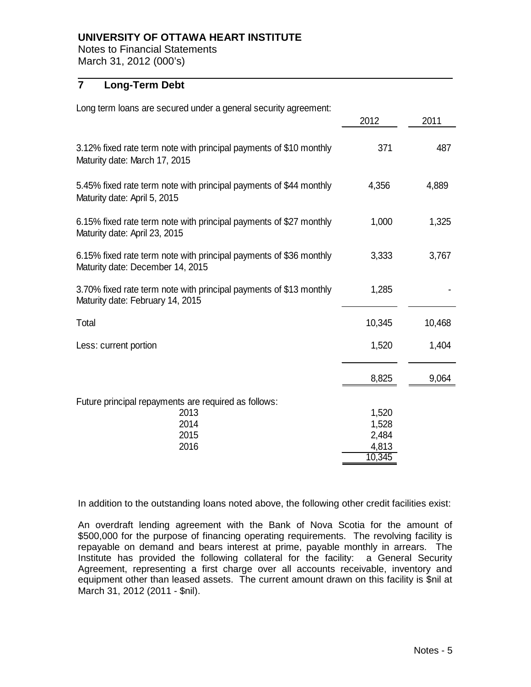Notes to Financial Statements March 31, 2012 (000's)

### **7 Long-Term Debt**

| Long term loans are secured under a general security agreement:                                        |        |        |
|--------------------------------------------------------------------------------------------------------|--------|--------|
|                                                                                                        | 2012   | 2011   |
| 3.12% fixed rate term note with principal payments of \$10 monthly<br>Maturity date: March 17, 2015    | 371    | 487    |
| 5.45% fixed rate term note with principal payments of \$44 monthly<br>Maturity date: April 5, 2015     | 4,356  | 4,889  |
| 6.15% fixed rate term note with principal payments of \$27 monthly<br>Maturity date: April 23, 2015    | 1,000  | 1,325  |
| 6.15% fixed rate term note with principal payments of \$36 monthly<br>Maturity date: December 14, 2015 | 3,333  | 3,767  |
| 3.70% fixed rate term note with principal payments of \$13 monthly<br>Maturity date: February 14, 2015 | 1,285  |        |
| Total                                                                                                  | 10,345 | 10,468 |
| Less: current portion                                                                                  | 1,520  | 1,404  |
|                                                                                                        | 8,825  | 9,064  |
| Future principal repayments are required as follows:                                                   |        |        |
| 2013                                                                                                   | 1,520  |        |
| 2014                                                                                                   | 1,528  |        |
| 2015                                                                                                   | 2,484  |        |
| 2016                                                                                                   | 4,813  |        |
|                                                                                                        | 10,345 |        |

In addition to the outstanding loans noted above, the following other credit facilities exist:

An overdraft lending agreement with the Bank of Nova Scotia for the amount of \$500,000 for the purpose of financing operating requirements. The revolving facility is repayable on demand and bears interest at prime, payable monthly in arrears. The Institute has provided the following collateral for the facility: a General Security Agreement, representing a first charge over all accounts receivable, inventory and equipment other than leased assets. The current amount drawn on this facility is \$nil at March 31, 2012 (2011 - \$nil).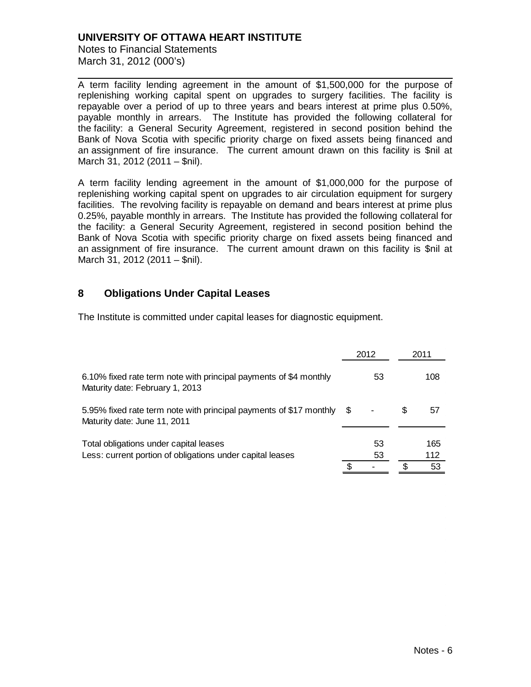Notes to Financial Statements March 31, 2012 (000's)

A term facility lending agreement in the amount of \$1,500,000 for the purpose of replenishing working capital spent on upgrades to surgery facilities. The facility is repayable over a period of up to three years and bears interest at prime plus 0.50%, payable monthly in arrears. The Institute has provided the following collateral for the facility: a General Security Agreement, registered in second position behind the Bank of Nova Scotia with specific priority charge on fixed assets being financed and an assignment of fire insurance. The current amount drawn on this facility is \$nil at March 31, 2012 (2011 – \$nil).

A term facility lending agreement in the amount of \$1,000,000 for the purpose of replenishing working capital spent on upgrades to air circulation equipment for surgery facilities. The revolving facility is repayable on demand and bears interest at prime plus 0.25%, payable monthly in arrears. The Institute has provided the following collateral for the facility: a General Security Agreement, registered in second position behind the Bank of Nova Scotia with specific priority charge on fixed assets being financed and an assignment of fire insurance. The current amount drawn on this facility is \$nil at March 31, 2012 (2011 – \$nil).

#### **8 Obligations Under Capital Leases**

The Institute is committed under capital leases for diagnostic equipment.

|                                                                                                      |      | 2012 |   | 2011      |  |
|------------------------------------------------------------------------------------------------------|------|------|---|-----------|--|
| 6.10% fixed rate term note with principal payments of \$4 monthly<br>Maturity date: February 1, 2013 |      | 53   |   | 108       |  |
| 5.95% fixed rate term note with principal payments of \$17 monthly<br>Maturity date: June 11, 2011   | - \$ |      | S | 57        |  |
| Total obligations under capital leases                                                               |      | 53   |   | 165       |  |
| Less: current portion of obligations under capital leases                                            | \$   | 53   |   | 112<br>53 |  |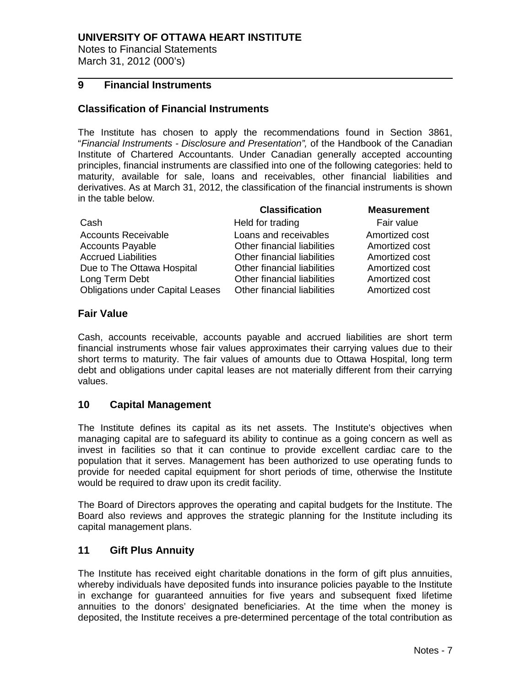Notes to Financial Statements March 31, 2012 (000's)

### **9 Financial Instruments**

#### **Classification of Financial Instruments**

The Institute has chosen to apply the recommendations found in Section 3861, "*Financial Instruments - Disclosure and Presentation",* of the Handbook of the Canadian Institute of Chartered Accountants. Under Canadian generally accepted accounting principles, financial instruments are classified into one of the following categories: held to maturity, available for sale, loans and receivables, other financial liabilities and derivatives. As at March 31, 2012, the classification of the financial instruments is shown in the table below.

|                                         | <b>Classification</b>       | <b>Measurement</b> |
|-----------------------------------------|-----------------------------|--------------------|
| Cash                                    | Held for trading            | Fair value         |
| <b>Accounts Receivable</b>              | Loans and receivables       | Amortized cost     |
| <b>Accounts Payable</b>                 | Other financial liabilities | Amortized cost     |
| <b>Accrued Liabilities</b>              | Other financial liabilities | Amortized cost     |
| Due to The Ottawa Hospital              | Other financial liabilities | Amortized cost     |
| Long Term Debt                          | Other financial liabilities | Amortized cost     |
| <b>Obligations under Capital Leases</b> | Other financial liabilities | Amortized cost     |

#### **Fair Value**

Cash, accounts receivable, accounts payable and accrued liabilities are short term financial instruments whose fair values approximates their carrying values due to their short terms to maturity. The fair values of amounts due to Ottawa Hospital, long term debt and obligations under capital leases are not materially different from their carrying values.

#### **10 Capital Management**

The Institute defines its capital as its net assets. The Institute's objectives when managing capital are to safeguard its ability to continue as a going concern as well as invest in facilities so that it can continue to provide excellent cardiac care to the population that it serves. Management has been authorized to use operating funds to provide for needed capital equipment for short periods of time, otherwise the Institute would be required to draw upon its credit facility.

The Board of Directors approves the operating and capital budgets for the Institute. The Board also reviews and approves the strategic planning for the Institute including its capital management plans.

#### **11 Gift Plus Annuity**

The Institute has received eight charitable donations in the form of gift plus annuities, whereby individuals have deposited funds into insurance policies payable to the Institute in exchange for guaranteed annuities for five years and subsequent fixed lifetime annuities to the donors' designated beneficiaries. At the time when the money is deposited, the Institute receives a pre-determined percentage of the total contribution as